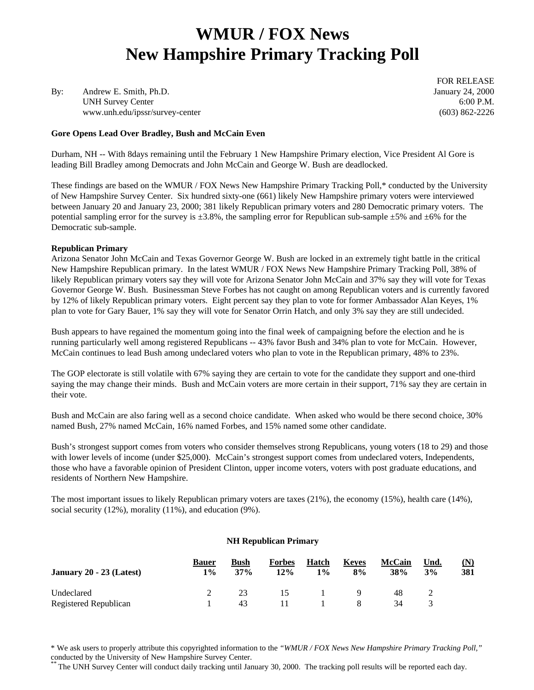# **WMUR / FOX News New Hampshire Primary Tracking Poll**

By: Andrew E. Smith, Ph.D. January 24, 2000 UNH Survey Center 6:00 P.M. www.unh.edu/ipssr/survey-center (603) 862-2226

**Gore Opens Lead Over Bradley, Bush and McCain Even**

FOR RELEASE

Durham, NH -- With 8days remaining until the February 1 New Hampshire Primary election, Vice President Al Gore is leading Bill Bradley among Democrats and John McCain and George W. Bush are deadlocked.

These findings are based on the WMUR / FOX News New Hampshire Primary Tracking Poll,\* conducted by the University of New Hampshire Survey Center. Six hundred sixty-one (661) likely New Hampshire primary voters were interviewed between January 20 and January 23, 2000; 381 likely Republican primary voters and 280 Democratic primary voters. The potential sampling error for the survey is  $\pm 3.8\%$ , the sampling error for Republican sub-sample  $\pm 5\%$  and  $\pm 6\%$  for the Democratic sub-sample.

#### **Republican Primary**

Arizona Senator John McCain and Texas Governor George W. Bush are locked in an extremely tight battle in the critical New Hampshire Republican primary. In the latest WMUR / FOX News New Hampshire Primary Tracking Poll, 38% of likely Republican primary voters say they will vote for Arizona Senator John McCain and 37% say they will vote for Texas Governor George W. Bush. Businessman Steve Forbes has not caught on among Republican voters and is currently favored by 12% of likely Republican primary voters. Eight percent say they plan to vote for former Ambassador Alan Keyes, 1% plan to vote for Gary Bauer, 1% say they will vote for Senator Orrin Hatch, and only 3% say they are still undecided.

Bush appears to have regained the momentum going into the final week of campaigning before the election and he is running particularly well among registered Republicans -- 43% favor Bush and 34% plan to vote for McCain. However, McCain continues to lead Bush among undeclared voters who plan to vote in the Republican primary, 48% to 23%.

The GOP electorate is still volatile with 67% saying they are certain to vote for the candidate they support and one-third saying the may change their minds. Bush and McCain voters are more certain in their support, 71% say they are certain in their vote.

Bush and McCain are also faring well as a second choice candidate. When asked who would be there second choice, 30% named Bush, 27% named McCain, 16% named Forbes, and 15% named some other candidate.

Bush's strongest support comes from voters who consider themselves strong Republicans, young voters (18 to 29) and those with lower levels of income (under \$25,000). McCain's strongest support comes from undeclared voters, Independents, those who have a favorable opinion of President Clinton, upper income voters, voters with post graduate educations, and residents of Northern New Hampshire.

The most important issues to likely Republican primary voters are taxes (21%), the economy (15%), health care (14%), social security (12%), morality (11%), and education (9%).

#### **NH Republican Primary**

| January 20 - 23 (Latest) | <b>Bauer</b><br>$1\%$ | Bush<br>37% | <b>Forbes</b><br>12% | Hatch<br>$1\%$ | <b>Keves</b><br>8% | <b>McCain</b><br>38% | Und.<br>3% | (N)<br>381 |
|--------------------------|-----------------------|-------------|----------------------|----------------|--------------------|----------------------|------------|------------|
| Undeclared               |                       | 23          | 15                   |                |                    | 48                   |            |            |
| Registered Republican    |                       | 43          |                      |                |                    | 34                   |            |            |

\* We ask users to properly attribute this copyrighted information to the *"WMUR / FOX News New Hampshire Primary Tracking Poll,"* conducted by the University of New Hampshire Survey Center.

The UNH Survey Center will conduct daily tracking until January 30, 2000. The tracking poll results will be reported each day.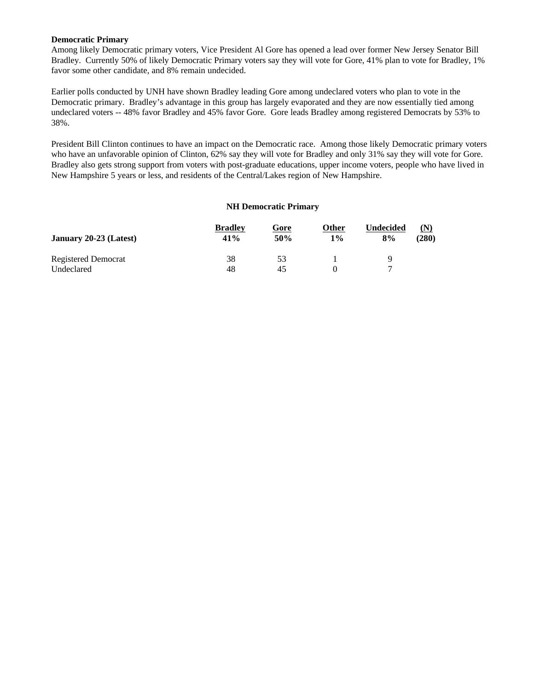#### **Democratic Primary**

Among likely Democratic primary voters, Vice President Al Gore has opened a lead over former New Jersey Senator Bill Bradley. Currently 50% of likely Democratic Primary voters say they will vote for Gore, 41% plan to vote for Bradley, 1% favor some other candidate, and 8% remain undecided.

Earlier polls conducted by UNH have shown Bradley leading Gore among undeclared voters who plan to vote in the Democratic primary. Bradley's advantage in this group has largely evaporated and they are now essentially tied among undeclared voters -- 48% favor Bradley and 45% favor Gore. Gore leads Bradley among registered Democrats by 53% to 38%.

President Bill Clinton continues to have an impact on the Democratic race. Among those likely Democratic primary voters who have an unfavorable opinion of Clinton, 62% say they will vote for Bradley and only 31% say they will vote for Gore. Bradley also gets strong support from voters with post-graduate educations, upper income voters, people who have lived in New Hampshire 5 years or less, and residents of the Central/Lakes region of New Hampshire.

#### **NH Democratic Primary**

|                        | <b>Bradley</b> | Gore | Other | <b>Undecided</b> | (N)   |
|------------------------|----------------|------|-------|------------------|-------|
| January 20-23 (Latest) | 41%            | 50%  | 1%    | 8%               | (280) |
| Registered Democrat    | 38             | 53   |       | Q                |       |
| Undeclared             | 48             | 45   |       |                  |       |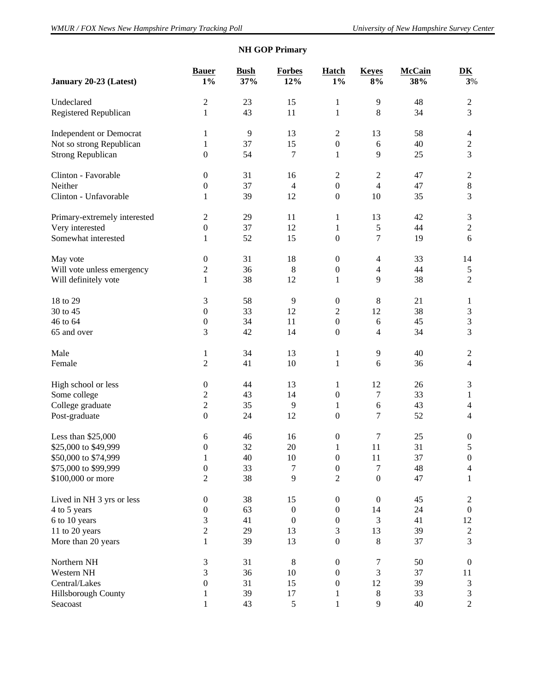| January 20-23 (Latest)         | <b>Bauer</b><br>$1\%$ | <b>Bush</b><br>37% | <b>Forbes</b><br>12% | Hatch<br>$1\%$   | <b>Keyes</b><br>$8\%$ | <b>McCain</b><br>38% | $\overline{\mathbf{D}}\mathbf{K}$<br>3% |
|--------------------------------|-----------------------|--------------------|----------------------|------------------|-----------------------|----------------------|-----------------------------------------|
| Undeclared                     | $\overline{2}$        | 23                 | 15                   | $\mathbf{1}$     | 9                     | 48                   | $\sqrt{2}$                              |
| Registered Republican          | $\mathbf{1}$          | 43                 | 11                   | $\mathbf{1}$     | 8                     | 34                   | 3                                       |
| <b>Independent or Democrat</b> | 1                     | 9                  | 13                   | $\mathfrak 2$    | 13                    | 58                   | $\overline{4}$                          |
| Not so strong Republican       | 1                     | 37                 | 15                   | $\boldsymbol{0}$ | 6                     | 40                   | $\sqrt{2}$                              |
| <b>Strong Republican</b>       | $\boldsymbol{0}$      | 54                 | 7                    | $\mathbf{1}$     | 9                     | 25                   | 3                                       |
| Clinton - Favorable            | $\boldsymbol{0}$      | 31                 | 16                   | $\mathfrak 2$    | $\overline{c}$        | 47                   | $\mathbf{2}$                            |
| Neither                        | $\boldsymbol{0}$      | 37                 | $\overline{4}$       | $\boldsymbol{0}$ | $\overline{4}$        | 47                   | $\,8\,$                                 |
| Clinton - Unfavorable          | 1                     | 39                 | 12                   | $\boldsymbol{0}$ | 10                    | 35                   | 3                                       |
| Primary-extremely interested   | $\overline{2}$        | 29                 | 11                   | $\mathbf{1}$     | 13                    | 42                   | $\mathfrak{Z}$                          |
| Very interested                | $\boldsymbol{0}$      | 37                 | 12                   | $\mathbf{1}$     | 5                     | 44                   | $\sqrt{2}$                              |
| Somewhat interested            | 1                     | 52                 | 15                   | $\boldsymbol{0}$ | 7                     | 19                   | 6                                       |
| May vote                       | $\boldsymbol{0}$      | 31                 | 18                   | $\boldsymbol{0}$ | $\overline{4}$        | 33                   | 14                                      |
| Will vote unless emergency     | $\overline{c}$        | 36                 | 8                    | $\boldsymbol{0}$ | $\overline{4}$        | 44                   | $\sqrt{5}$                              |
| Will definitely vote           | 1                     | 38                 | 12                   | $\mathbf{1}$     | 9                     | 38                   | $\overline{2}$                          |
| 18 to 29                       | 3                     | 58                 | 9                    | $\boldsymbol{0}$ | 8                     | 21                   | $\mathbf{1}$                            |
| 30 to 45                       | $\boldsymbol{0}$      | 33                 | 12                   | $\overline{2}$   | 12                    | 38                   | $\ensuremath{\mathfrak{Z}}$             |
| 46 to 64                       | $\boldsymbol{0}$      | 34                 | 11                   | $\boldsymbol{0}$ | 6                     | 45                   | $\sqrt{3}$                              |
| 65 and over                    | 3                     | 42                 | 14                   | $\boldsymbol{0}$ | 4                     | 34                   | 3                                       |
| Male                           | 1                     | 34                 | 13                   | $\mathbf{1}$     | $\overline{9}$        | 40                   | $\overline{2}$                          |
| Female                         | $\overline{2}$        | 41                 | 10                   | $\mathbf{1}$     | 6                     | 36                   | $\overline{4}$                          |
| High school or less            | $\boldsymbol{0}$      | 44                 | 13                   | $\mathbf{1}$     | 12                    | 26                   | $\mathfrak{Z}$                          |
| Some college                   | $\overline{c}$        | 43                 | 14                   | $\boldsymbol{0}$ | 7                     | 33                   | 1                                       |
| College graduate               | $\sqrt{2}$            | 35                 | 9                    | $\mathbf{1}$     | 6                     | 43                   | $\overline{4}$                          |
| Post-graduate                  | $\overline{0}$        | 24                 | 12                   | $\boldsymbol{0}$ | 7                     | 52                   | $\overline{4}$                          |
| Less than \$25,000             | 6                     | 46                 | 16                   | $\boldsymbol{0}$ | 7                     | 25                   | $\boldsymbol{0}$                        |
| \$25,000 to \$49,999           | $\boldsymbol{0}$      | 32                 | $20\,$               | $\mathbf{1}$     | 11                    | 31                   | 5                                       |
| \$50,000 to \$74,999           | $\mathbf{1}$          | 40                 | 10                   | $\boldsymbol{0}$ | 11                    | 37                   | $\boldsymbol{0}$                        |
| \$75,000 to \$99,999           | $\boldsymbol{0}$      | 33                 | 7                    | $\boldsymbol{0}$ | $\boldsymbol{7}$      | 48                   | $\overline{4}$                          |
| \$100,000 or more              | $\overline{2}$        | 38                 | 9                    | $\overline{2}$   | $\boldsymbol{0}$      | 47                   | $\mathbf{1}$                            |
| Lived in NH 3 yrs or less      | $\boldsymbol{0}$      | 38                 | 15                   | $\boldsymbol{0}$ | $\boldsymbol{0}$      | 45                   | $\overline{c}$                          |
| 4 to 5 years                   | 0                     | 63                 | $\mathbf{0}$         | $\boldsymbol{0}$ | 14                    | 24                   | $\boldsymbol{0}$                        |
| 6 to 10 years                  | 3                     | 41                 | $\Omega$             | $\boldsymbol{0}$ | 3                     | 41                   | 12                                      |
| 11 to 20 years                 | $\overline{c}$        | 29                 | 13                   | 3                | 13                    | 39                   | $\sqrt{2}$                              |
| More than 20 years             | 1                     | 39                 | 13                   | $\boldsymbol{0}$ | $8\,$                 | 37                   | 3                                       |
| Northern NH                    | $\mathfrak{Z}$        | 31                 | 8                    | $\boldsymbol{0}$ | 7                     | 50                   | $\boldsymbol{0}$                        |
| Western NH                     | 3                     | 36                 | 10                   | $\boldsymbol{0}$ | 3                     | 37                   | 11                                      |
| Central/Lakes                  | $\boldsymbol{0}$      | 31                 | 15                   | $\boldsymbol{0}$ | 12                    | 39                   | $\mathfrak{Z}$                          |
| Hillsborough County            | 1                     | 39                 | 17                   | $\mathbf{1}$     | $8\,$                 | 33                   | $\mathfrak{Z}$                          |
| Seacoast                       | $\mathbf{1}$          | 43                 | $\mathfrak s$        | $\,1\,$          | 9                     | 40                   | $\overline{2}$                          |

# **NH GOP Primary**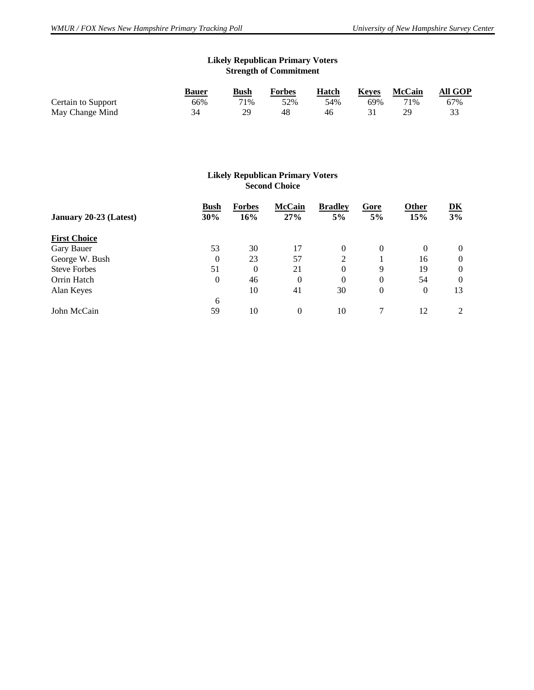## **Likely Republican Primary Voters Strength of Commitment**

|                    | <b>Bauer</b> | <b>Bush</b> | <b>Forbes</b> | Hatch | <b>Keves</b> | <b>McCain</b> | All GOP |
|--------------------|--------------|-------------|---------------|-------|--------------|---------------|---------|
| Certain to Support | 66%          | 71%         | 52%           | 54%   | 69%          | 71%           | 67%     |
| May Change Mind    |              | 29          | 48            | 46    |              |               |         |

#### **Likely Republican Primary Voters Second Choice**

| January 20-23 (Latest) | Bush<br>30% | <b>Forbes</b><br>16% | <b>McCain</b><br>27% | <b>Bradley</b><br>5% | Gore<br>5%     | <b>Other</b><br>15% | $\underline{\mathbf{D}}\underline{\mathbf{K}}$<br>3% |
|------------------------|-------------|----------------------|----------------------|----------------------|----------------|---------------------|------------------------------------------------------|
| <b>First Choice</b>    |             |                      |                      |                      |                |                     |                                                      |
| Gary Bauer             | 53          | 30                   | 17                   | $\Omega$             | $\Omega$       | 0                   | $\theta$                                             |
| George W. Bush         | 0           | 23                   | 57                   | 2                    |                | 16                  | $\theta$                                             |
| <b>Steve Forbes</b>    | 51          | $\theta$             | 21                   | $\Omega$             | 9              | 19                  | $\theta$                                             |
| Orrin Hatch            | 0           | 46                   | $\Omega$             | $\Omega$             | $\Omega$       | 54                  | $\Omega$                                             |
| Alan Keyes             |             | 10                   | 41                   | 30                   | $\overline{0}$ | $\theta$            | 13                                                   |
|                        | 6           |                      |                      |                      |                |                     |                                                      |
| John McCain            | 59          | 10                   | $\Omega$             | 10                   |                | 12                  | $\mathfrak{D}$                                       |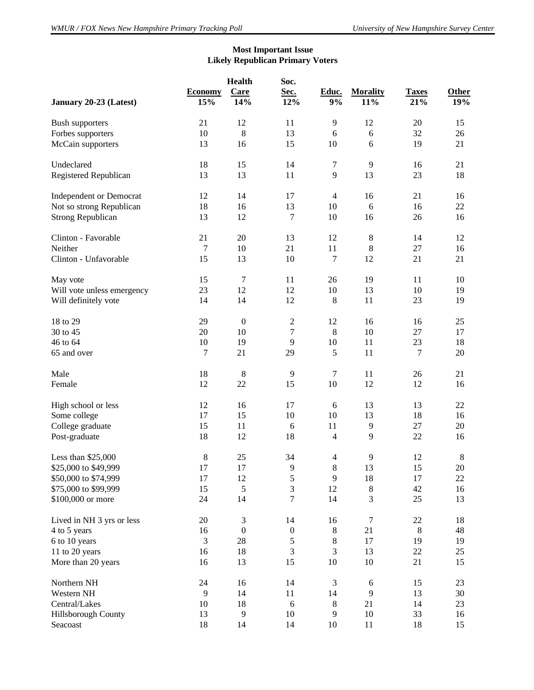## **Most Important Issue Likely Republican Primary Voters**

| January 20-23 (Latest)         | <b>Economy</b><br>15% | <b>Health</b><br>Care<br>14% | Soc.<br>Sec.<br>12% | Educ.<br>9%              | <b>Morality</b><br>11% | <b>Taxes</b><br>21% | <b>Other</b><br>19% |
|--------------------------------|-----------------------|------------------------------|---------------------|--------------------------|------------------------|---------------------|---------------------|
| <b>Bush supporters</b>         | 21                    | 12                           | 11                  | 9                        | 12                     | 20                  | 15                  |
| Forbes supporters              | 10                    | $\bf 8$                      | 13                  | 6                        | 6                      | 32                  | 26                  |
| McCain supporters              | 13                    | 16                           | 15                  | 10                       | 6                      | 19                  | 21                  |
| Undeclared                     | 18                    | 15                           | 14                  | $\boldsymbol{7}$         | 9                      | 16                  | 21                  |
| Registered Republican          | 13                    | 13                           | $11\,$              | $\overline{9}$           | 13                     | 23                  | 18                  |
| <b>Independent or Democrat</b> | 12                    | 14                           | 17                  | $\overline{4}$           | 16                     | 21                  | 16                  |
| Not so strong Republican       | 18                    | 16                           | 13                  | 10                       | 6                      | 16                  | 22                  |
| <b>Strong Republican</b>       | 13                    | 12                           | $\tau$              | 10                       | 16                     | 26                  | 16                  |
| Clinton - Favorable            | 21                    | 20                           | 13                  | 12                       | $\,8\,$                | 14                  | 12                  |
| Neither                        | $\boldsymbol{7}$      | 10                           | 21                  | 11                       | $\,8\,$                | 27                  | 16                  |
| Clinton - Unfavorable          | 15                    | 13                           | 10                  | $\boldsymbol{7}$         | 12                     | 21                  | 21                  |
| May vote                       | 15                    | $\boldsymbol{7}$             | 11                  | 26                       | 19                     | 11                  | 10                  |
| Will vote unless emergency     | 23                    | 12                           | 12                  | 10                       | 13                     | 10                  | 19                  |
| Will definitely vote           | 14                    | 14                           | 12                  | $\,8\,$                  | 11                     | 23                  | 19                  |
| 18 to 29                       | 29                    | $\boldsymbol{0}$             | $\overline{2}$      | 12                       | 16                     | 16                  | 25                  |
| 30 to 45                       | 20                    | 10                           | $\boldsymbol{7}$    | $\,8\,$                  | 10                     | 27                  | 17                  |
| 46 to 64                       | $10\,$                | 19                           | $\overline{9}$      | 10                       | 11                     | 23                  | 18                  |
| 65 and over                    | $\boldsymbol{7}$      | 21                           | 29                  | 5                        | 11                     | $\boldsymbol{7}$    | 20                  |
| Male                           | 18                    | $\,8\,$                      | $\overline{9}$      | $\tau$                   | 11                     | 26                  | 21                  |
| Female                         | 12                    | 22                           | 15                  | 10                       | 12                     | 12                  | 16                  |
| High school or less            | 12                    | 16                           | 17                  | 6                        | 13                     | 13                  | 22                  |
| Some college                   | 17                    | 15                           | 10                  | 10                       | 13                     | 18                  | 16                  |
| College graduate               | 15                    | 11                           | 6                   | 11                       | 9                      | 27                  | 20                  |
| Post-graduate                  | 18                    | 12                           | 18                  | $\overline{\mathcal{L}}$ | 9                      | 22                  | 16                  |
| Less than \$25,000             | $\,$ 8 $\,$           | 25                           | 34                  | $\overline{4}$           | 9                      | 12                  | $\,8\,$             |
| \$25,000 to \$49,999           | $17\,$                | 17                           | 9                   | $\,8\,$                  | 13                     | 15                  | $20\,$              |
| \$50,000 to \$74,999           | 17                    | 12                           | 5                   | 9                        | 18                     | 17                  | 22                  |
| \$75,000 to \$99,999           | 15                    | 5                            | $\mathfrak{Z}$      | 12                       | $\,8\,$                | 42                  | 16                  |
| \$100,000 or more              | 24                    | 14                           | $\overline{7}$      | 14                       | 3                      | 25                  | 13                  |
| Lived in NH 3 yrs or less      | $20\,$                | 3                            | 14                  | 16                       | $\tau$                 | $22\,$              | 18                  |
| 4 to 5 years                   | 16                    | $\boldsymbol{0}$             | $\boldsymbol{0}$    | $\,8\,$                  | 21                     | $\,8\,$             | 48                  |
| 6 to 10 years                  | $\mathfrak{Z}$        | $28\,$                       | 5                   | $\,8\,$                  | 17                     | 19                  | 19                  |
| 11 to 20 years                 | 16                    | 18                           | 3                   | 3                        | 13                     | 22                  | 25                  |
| More than 20 years             | 16                    | 13                           | 15                  | 10                       | 10                     | 21                  | 15                  |
| Northern NH                    | 24                    | 16                           | 14                  | $\mathfrak{Z}$           | 6                      | 15                  | 23                  |
| Western NH                     | $\mathbf{9}$          | 14                           | 11                  | 14                       | 9                      | 13                  | 30                  |
| Central/Lakes                  | 10                    | 18                           | $\sqrt{6}$          | $\,8\,$                  | 21                     | 14                  | 23                  |
| Hillsborough County            | 13                    | 9                            | 10                  | 9                        | $10\,$                 | 33                  | 16                  |
| Seacoast                       | 18                    | 14                           | 14                  | 10                       | $11\,$                 | 18                  | 15                  |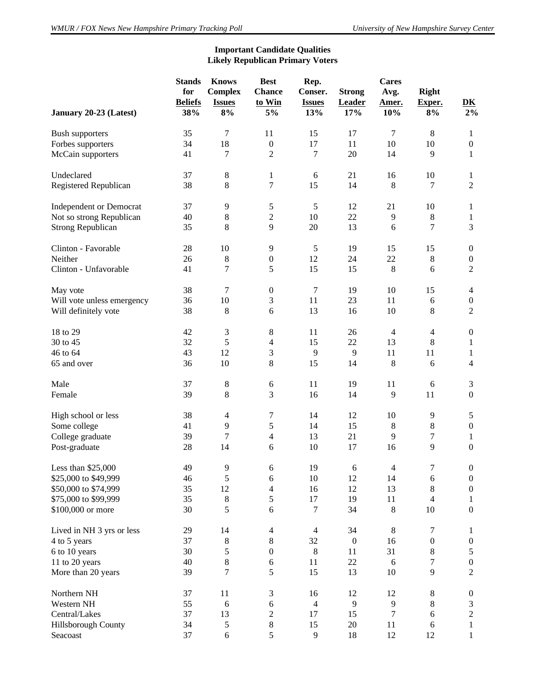## **Important Candidate Qualities Likely Republican Primary Voters**

| January 20-23 (Latest)         | <b>Stands</b><br>for<br><b>Beliefs</b><br>38% | <b>Knows</b><br><b>Complex</b><br><b>Issues</b><br>8% | <b>Best</b><br><b>Chance</b><br>to Win<br>5% | Rep.<br>Conser.<br><b>Issues</b><br>13% | <b>Strong</b><br><b>Leader</b><br>17% | <b>Cares</b><br>Avg.<br>Amer.<br>10% | <b>Right</b><br>Exper.<br>8% | $\underline{\mathbf{D}}\underline{\mathbf{K}}$<br>$2\%$ |
|--------------------------------|-----------------------------------------------|-------------------------------------------------------|----------------------------------------------|-----------------------------------------|---------------------------------------|--------------------------------------|------------------------------|---------------------------------------------------------|
|                                | 35                                            | $\tau$                                                | 11                                           | 15                                      | 17                                    | $\tau$                               | $\,8\,$                      |                                                         |
| <b>Bush supporters</b>         | 34                                            | 18                                                    | $\boldsymbol{0}$                             |                                         | 11                                    | 10                                   | 10                           | 1                                                       |
| Forbes supporters              |                                               |                                                       |                                              | 17                                      |                                       |                                      |                              | $\boldsymbol{0}$                                        |
| McCain supporters              | 41                                            | 7                                                     | $\overline{c}$                               | 7                                       | 20                                    | 14                                   | 9                            | $\mathbf{1}$                                            |
| Undeclared                     | 37                                            | $\,8\,$                                               | 1                                            | $\sqrt{6}$                              | 21                                    | 16                                   | 10                           | 1                                                       |
| Registered Republican          | 38                                            | 8                                                     | 7                                            | 15                                      | 14                                    | $\,8\,$                              | 7                            | $\overline{2}$                                          |
| <b>Independent or Democrat</b> | 37                                            | 9                                                     | 5                                            | 5                                       | 12                                    | 21                                   | 10                           | 1                                                       |
| Not so strong Republican       | 40                                            | $\,8\,$                                               | $\overline{2}$                               | 10                                      | 22                                    | 9                                    | $\,8\,$                      | 1                                                       |
| <b>Strong Republican</b>       | 35                                            | 8                                                     | 9                                            | 20                                      | 13                                    | 6                                    | 7                            | 3                                                       |
| Clinton - Favorable            | 28                                            | 10                                                    | 9                                            | 5                                       | 19                                    | 15                                   | 15                           | $\boldsymbol{0}$                                        |
| Neither                        | 26                                            | $\,8\,$                                               | $\boldsymbol{0}$                             | 12                                      | 24                                    | 22                                   | $8\,$                        | $\boldsymbol{0}$                                        |
| Clinton - Unfavorable          | 41                                            | 7                                                     | 5                                            | 15                                      | 15                                    | $8\phantom{1}$                       | 6                            | $\overline{2}$                                          |
| May vote                       | 38                                            | 7                                                     | $\boldsymbol{0}$                             | 7                                       | 19                                    | 10                                   | 15                           | $\overline{4}$                                          |
| Will vote unless emergency     | 36                                            | 10                                                    | 3                                            | 11                                      | 23                                    | 11                                   | 6                            | $\boldsymbol{0}$                                        |
| Will definitely vote           | 38                                            | 8                                                     | 6                                            | 13                                      | 16                                    | 10                                   | 8                            | $\overline{2}$                                          |
| 18 to 29                       | 42                                            | $\mathfrak{Z}$                                        | 8                                            | 11                                      | 26                                    | $\overline{4}$                       | $\overline{\mathcal{L}}$     | $\boldsymbol{0}$                                        |
| 30 to 45                       | 32                                            | $\sqrt{5}$                                            | $\overline{4}$                               | 15                                      | 22                                    | 13                                   | 8                            | 1                                                       |
| 46 to 64                       | 43                                            | 12                                                    | 3                                            | 9                                       | 9                                     | 11                                   | 11                           | 1                                                       |
| 65 and over                    | 36                                            | 10                                                    | 8                                            | 15                                      | 14                                    | $\,8\,$                              | 6                            | 4                                                       |
| Male                           | 37                                            | $\,8\,$                                               | 6                                            | 11                                      | 19                                    | 11                                   | 6                            | 3                                                       |
| Female                         | 39                                            | 8                                                     | 3                                            | 16                                      | 14                                    | 9                                    | 11                           | $\boldsymbol{0}$                                        |
| High school or less            | 38                                            | $\overline{4}$                                        | 7                                            | 14                                      | 12                                    | 10                                   | 9                            | $\mathfrak s$                                           |
| Some college                   | 41                                            | 9                                                     | 5                                            | 14                                      | 15                                    | $\,8\,$                              | $8\,$                        | $\boldsymbol{0}$                                        |
| College graduate               | 39                                            | 7                                                     | $\overline{4}$                               | 13                                      | 21                                    | 9                                    | 7                            | 1                                                       |
| Post-graduate                  | 28                                            | 14                                                    | 6                                            | 10                                      | 17                                    | 16                                   | 9                            | $\mathbf{0}$                                            |
| Less than \$25,000             | 49                                            | 9                                                     | 6                                            | 19                                      | 6                                     | $\overline{4}$                       | 7                            | $\boldsymbol{0}$                                        |
| \$25,000 to \$49,999           | 46                                            | $\sqrt{5}$                                            | 6                                            | 10                                      | 12                                    | 14                                   | 6                            | $\boldsymbol{0}$                                        |
| \$50,000 to \$74,999           | 35                                            | 12                                                    | $\overline{4}$                               | 16                                      | 12                                    | 13                                   | $8\,$                        | $\boldsymbol{0}$                                        |
| \$75,000 to \$99,999           | 35                                            | $\,8\,$                                               | 5                                            | 17                                      | 19                                    | 11                                   | $\overline{4}$               | 1                                                       |
| \$100,000 or more              | 30                                            | 5                                                     | 6                                            | 7                                       | 34                                    | $\,8\,$                              | 10                           | $\boldsymbol{0}$                                        |
| Lived in NH 3 yrs or less      | 29                                            | 14                                                    | $\overline{4}$                               | $\overline{4}$                          | 34                                    | $8\,$                                | 7                            | 1                                                       |
| 4 to 5 years                   | 37                                            | $\,8\,$                                               | $\,8\,$                                      | 32                                      | $\boldsymbol{0}$                      | 16                                   | $\boldsymbol{0}$             | $\boldsymbol{0}$                                        |
| 6 to 10 years                  | 30                                            | 5                                                     | $\boldsymbol{0}$                             | $8\,$                                   | 11                                    | 31                                   | $8\,$                        | 5                                                       |
| 11 to 20 years                 | 40                                            | $\,$ 8 $\,$                                           | 6                                            | $11\,$                                  | 22                                    | 6                                    | 7                            | $\boldsymbol{0}$                                        |
| More than 20 years             | 39                                            | 7                                                     | 5                                            | 15                                      | 13                                    | 10                                   | $\mathbf{9}$                 | $\overline{2}$                                          |
| Northern NH                    | 37                                            | 11                                                    | 3                                            | 16                                      | 12                                    | 12                                   | $8\,$                        | $\boldsymbol{0}$                                        |
| Western NH                     | 55                                            | 6                                                     | 6                                            | $\overline{4}$                          | 9                                     | 9                                    | $8\,$                        | 3                                                       |
| Central/Lakes                  | 37                                            | 13                                                    | $\overline{c}$                               | 17                                      | 15                                    | 7                                    | $\sqrt{6}$                   | $\overline{c}$                                          |
| Hillsborough County            | 34                                            | $\sqrt{5}$                                            | $\,8$                                        | 15                                      | 20                                    | 11                                   | $\sqrt{6}$                   | 1                                                       |
| Seacoast                       | 37                                            | $\sqrt{6}$                                            | 5                                            | 9                                       | 18                                    | 12                                   | 12                           | $\mathbf{1}$                                            |
|                                |                                               |                                                       |                                              |                                         |                                       |                                      |                              |                                                         |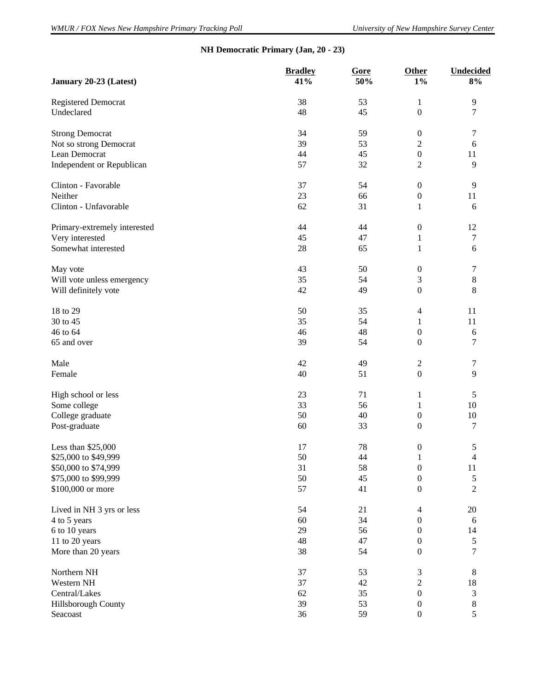## **NH Democratic Primary (Jan, 20 - 23)**

| January 20-23 (Latest)       | <b>Bradley</b><br>41% | Gore<br>50%       | Other<br>$1\%$           | <b>Undecided</b><br>8% |
|------------------------------|-----------------------|-------------------|--------------------------|------------------------|
| <b>Registered Democrat</b>   | 38                    | 53                | $\mathbf{1}$             | 9                      |
| Undeclared                   | 48                    | 45                | $\boldsymbol{0}$         | 7                      |
| <b>Strong Democrat</b>       | 34                    | 59                | $\boldsymbol{0}$         | 7                      |
| Not so strong Democrat       | 39                    | 53                | $\sqrt{2}$               | 6                      |
| Lean Democrat                | 44                    | 45                | $\boldsymbol{0}$         | 11                     |
| Independent or Republican    | 57                    | 32                | $\overline{c}$           | $\overline{9}$         |
| Clinton - Favorable          | 37                    | 54                | $\boldsymbol{0}$         | 9                      |
| Neither                      | 23                    | 66                | $\boldsymbol{0}$         | 11                     |
| Clinton - Unfavorable        | 62                    | 31                | 1                        | 6                      |
| Primary-extremely interested | 44                    | 44                | $\boldsymbol{0}$         | 12                     |
| Very interested              | 45                    | 47                | 1                        | 7                      |
| Somewhat interested          | 28                    | 65                | 1                        | 6                      |
| May vote                     | 43                    | 50                | $\boldsymbol{0}$         | 7                      |
| Will vote unless emergency   | 35                    | 54                | $\mathfrak{Z}$           | $\,8\,$                |
| Will definitely vote         | 42                    | 49                | $\boldsymbol{0}$         | 8                      |
| 18 to 29                     | 50                    | 35                | $\overline{\mathcal{L}}$ | 11                     |
| 30 to 45                     | 35                    | 54                | $\mathbf{1}$             | 11                     |
| 46 to 64                     | 46                    | 48                | $\boldsymbol{0}$         | 6                      |
| 65 and over                  | 39                    | 54                | $\mathbf{0}$             | 7                      |
| Male                         | 42                    | 49                | $\overline{c}$           | 7                      |
| Female                       | 40                    | 51                | $\boldsymbol{0}$         | 9                      |
| High school or less          | 23                    | 71                | 1                        | 5                      |
| Some college                 | 33                    | 56                | $\mathbf{1}$             | 10                     |
| College graduate             | 50                    | 40                | $\boldsymbol{0}$         | $10\,$                 |
| Post-graduate                | 60                    | 33                | $\boldsymbol{0}$         | 7                      |
| Less than \$25,000           | 17                    | 78                | $\boldsymbol{0}$         | 5                      |
| \$25,000 to \$49,999         | 50                    | $\ensuremath{44}$ | $\mathbf 1$              | $\overline{4}$         |
| \$50,000 to \$74,999         | 31                    | 58                | $\boldsymbol{0}$         | 11                     |
| \$75,000 to \$99,999         | 50                    | 45                | $\boldsymbol{0}$         | 5                      |
| \$100,000 or more            | 57                    | 41                | $\boldsymbol{0}$         | $\sqrt{2}$             |
| Lived in NH 3 yrs or less    | 54                    | 21                | $\overline{\mathcal{L}}$ | $20\,$                 |
| 4 to 5 years                 | 60                    | 34                | $\boldsymbol{0}$         | 6                      |
| 6 to 10 years                | 29                    | 56                | $\boldsymbol{0}$         | 14                     |
| 11 to 20 years               | 48                    | 47                | $\boldsymbol{0}$         | $\mathfrak s$          |
| More than 20 years           | 38                    | 54                | $\boldsymbol{0}$         | $\boldsymbol{7}$       |
| Northern NH                  | 37                    | 53                | 3                        | $\,8\,$                |
| Western NH                   | 37                    | 42                | $\sqrt{2}$               | 18                     |
| Central/Lakes                | 62                    | 35                | $\boldsymbol{0}$         | $\mathfrak{Z}$         |
| Hillsborough County          | 39                    | 53                | $\boldsymbol{0}$         | $\,8\,$                |
| Seacoast                     | 36                    | 59                | $\boldsymbol{0}$         | 5                      |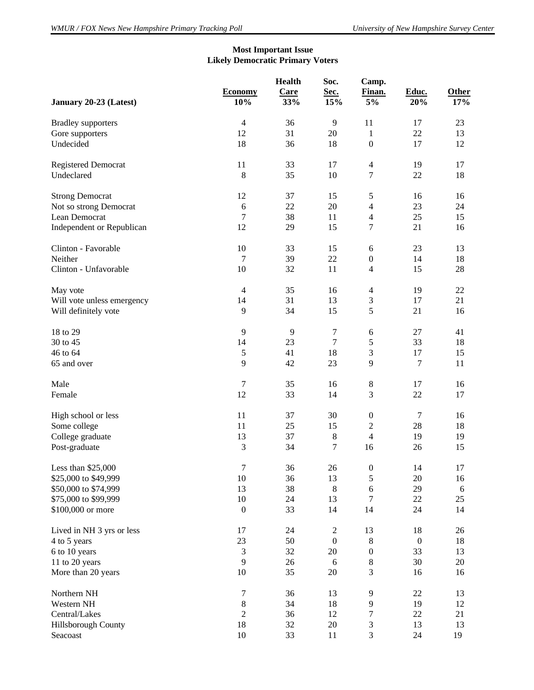## **Most Important Issue Likely Democratic Primary Voters**

|                            | <b>Economy</b><br>10%       | <b>Health</b><br>Care<br>33% | Soc.<br>Sec.<br>15% | Camp.<br>Finan.<br>$5\%$ | Educ.<br>20%     | Other<br>17% |
|----------------------------|-----------------------------|------------------------------|---------------------|--------------------------|------------------|--------------|
| January 20-23 (Latest)     |                             |                              |                     |                          |                  |              |
| <b>Bradley</b> supporters  | $\overline{4}$              | 36                           | 9                   | 11                       | 17               | 23           |
| Gore supporters            | 12                          | 31                           | 20                  | 1                        | 22               | 13           |
| Undecided                  | 18                          | 36                           | 18                  | $\boldsymbol{0}$         | 17               | 12           |
| <b>Registered Democrat</b> | 11                          | 33                           | 17                  | $\overline{4}$           | 19               | 17           |
| Undeclared                 | $\,8\,$                     | 35                           | 10                  | $\boldsymbol{7}$         | $22\,$           | 18           |
| <b>Strong Democrat</b>     | 12                          | 37                           | 15                  | $\mathfrak s$            | 16               | 16           |
| Not so strong Democrat     | $\sqrt{6}$                  | 22                           | 20                  | $\overline{4}$           | 23               | 24           |
| Lean Democrat              | 7                           | 38                           | 11                  | $\overline{4}$           | 25               | 15           |
| Independent or Republican  | 12                          | 29                           | 15                  | $\boldsymbol{7}$         | 21               | 16           |
| Clinton - Favorable        | 10                          | 33                           | 15                  | 6                        | 23               | 13           |
| Neither                    | $\overline{7}$              | 39                           | 22                  | $\boldsymbol{0}$         | 14               | 18           |
| Clinton - Unfavorable      | 10                          | 32                           | $11\,$              | $\overline{4}$           | 15               | 28           |
| May vote                   | $\overline{4}$              | 35                           | 16                  | $\overline{4}$           | 19               | 22           |
| Will vote unless emergency | 14                          | 31                           | 13                  | $\mathfrak{Z}$           | $17\,$           | 21           |
| Will definitely vote       | $\mathbf{9}$                | 34                           | 15                  | $\sqrt{5}$               | 21               | 16           |
| 18 to 29                   | 9                           | 9                            | $\boldsymbol{7}$    | 6                        | 27               | 41           |
| 30 to 45                   | 14                          | 23                           | $\boldsymbol{7}$    | $\mathfrak s$            | 33               | 18           |
| 46 to 64                   | $\sqrt{5}$                  | 41                           | 18                  | $\mathfrak{Z}$           | $17\,$           | 15           |
| 65 and over                | 9                           | 42                           | 23                  | 9                        | $\tau$           | 11           |
| Male                       | $\boldsymbol{7}$            | 35                           | 16                  | $\,8\,$                  | 17               | 16           |
| Female                     | 12                          | 33                           | 14                  | $\mathfrak{Z}$           | $22\,$           | 17           |
| High school or less        | 11                          | 37                           | 30                  | $\boldsymbol{0}$         | $\tau$           | 16           |
| Some college               | 11                          | 25                           | 15                  | $\sqrt{2}$               | 28               | 18           |
| College graduate           | 13                          | 37                           | $\,8\,$             | $\overline{4}$           | 19               | 19           |
| Post-graduate              | $\mathfrak 3$               | 34                           | $\boldsymbol{7}$    | 16                       | 26               | 15           |
| Less than \$25,000         | $\boldsymbol{7}$            | 36                           | 26                  | $\boldsymbol{0}$         | 14               | 17           |
| \$25,000 to \$49,999       | 10                          | 36                           | 13                  | $\sqrt{5}$               | 20               | 16           |
| \$50,000 to \$74,999       | 13                          | 38                           | $\,$ 8 $\,$         | 6                        | 29               | 6            |
| \$75,000 to \$99,999       | 10                          | 24                           | 13                  | $\tau$                   | 22               | 25           |
| \$100,000 or more          | $\boldsymbol{0}$            | 33                           | 14                  | 14                       | 24               | 14           |
| Lived in NH 3 yrs or less  | 17                          | 24                           | $\overline{2}$      | 13                       | 18               | 26           |
| 4 to 5 years               | $23\,$                      | 50                           | $\boldsymbol{0}$    | $\,8\,$                  | $\boldsymbol{0}$ | 18           |
| 6 to 10 years              | $\ensuremath{\mathfrak{Z}}$ | 32                           | $20\,$              | $\boldsymbol{0}$         | 33               | 13           |
| 11 to 20 years             | 9                           | 26                           | 6                   | $\,8\,$                  | 30               | 20           |
| More than 20 years         | 10                          | 35                           | 20                  | 3                        | 16               | 16           |
| Northern NH                | $\boldsymbol{7}$            | 36                           | 13                  | 9                        | 22               | 13           |
| Western NH                 | $8\,$                       | 34                           | 18                  | 9                        | 19               | 12           |
| Central/Lakes              | $\sqrt{2}$                  | 36                           | 12                  | $\tau$                   | $22\,$           | 21           |
| Hillsborough County        | 18                          | 32                           | $20\,$              | $\mathfrak{Z}$           | 13               | 13           |
| Seacoast                   | $10\,$                      | 33                           | 11                  | 3                        | 24               | 19           |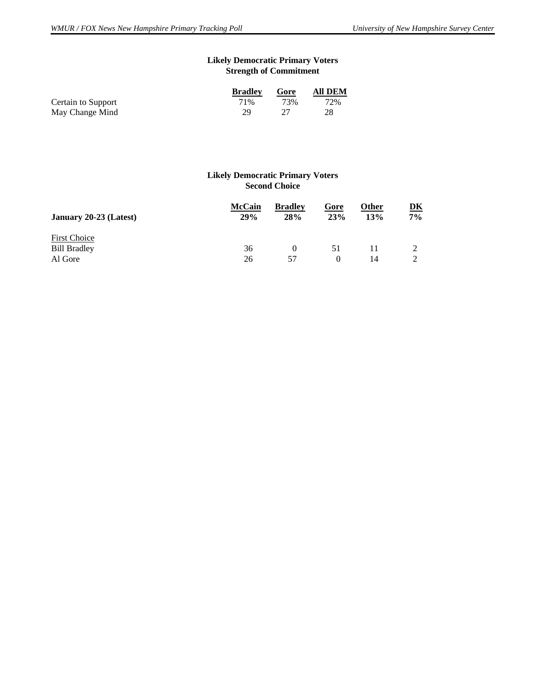## **Likely Democratic Primary Voters Strength of Commitment**

|                    | <b>Bradley</b> | Gore | <b>All DEM</b> |
|--------------------|----------------|------|----------------|
| Certain to Support | 71%            | 73%  | 72%            |
| May Change Mind    | 29.            |      | 28             |

#### **Likely Democratic Primary Voters Second Choice**

| <b>McCain</b><br>29% | <b>Bradley</b><br><b>28%</b> | Gore<br>23% | Other<br>13% | DK<br>7% |
|----------------------|------------------------------|-------------|--------------|----------|
| 36                   |                              | 51          |              |          |
|                      | 26                           | 57          |              | 14       |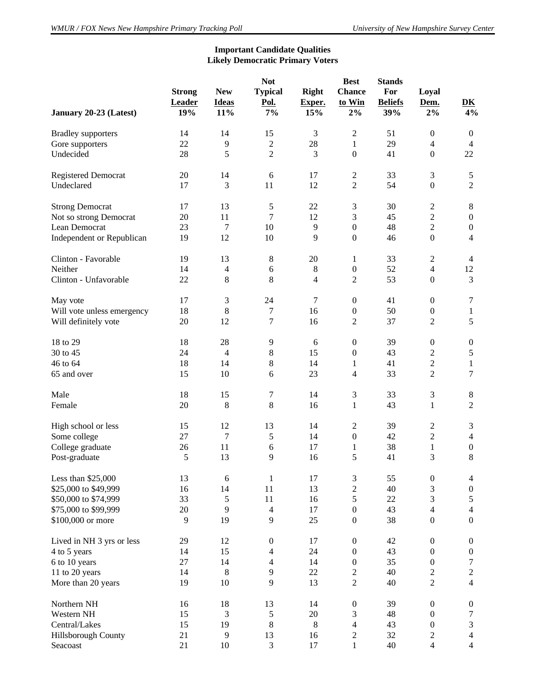## **Important Candidate Qualities Likely Democratic Primary Voters**

| January 20-23 (Latest)     | <b>Strong</b><br>Leader<br>19% | <b>New</b><br><b>Ideas</b><br>11% | <b>Not</b><br><b>Typical</b><br>Pol.<br>7% | <b>Right</b><br>Exper.<br>15% | <b>Best</b><br><b>Chance</b><br>to Win<br>$2\%$ | <b>Stands</b><br>For<br><b>Beliefs</b><br>39% | Loyal<br>Dem.<br>$2\%$  | $\overline{\mathbf{D}}\mathbf{K}$<br>4% |
|----------------------------|--------------------------------|-----------------------------------|--------------------------------------------|-------------------------------|-------------------------------------------------|-----------------------------------------------|-------------------------|-----------------------------------------|
| <b>Bradley</b> supporters  | 14                             | 14                                | 15                                         | 3                             | $\overline{c}$                                  | 51                                            | $\boldsymbol{0}$        | $\boldsymbol{0}$                        |
| Gore supporters            | 22                             | 9                                 | $\boldsymbol{2}$                           | 28                            | $\mathbf{1}$                                    | 29                                            | $\overline{4}$          | $\overline{4}$                          |
| Undecided                  | 28                             | 5                                 | $\overline{c}$                             | 3                             | $\boldsymbol{0}$                                | 41                                            | $\boldsymbol{0}$        | 22                                      |
| Registered Democrat        | 20                             | 14                                | 6                                          | 17                            | $\overline{2}$                                  | 33                                            | 3                       | $\mathfrak s$                           |
| Undeclared                 | 17                             | 3                                 | 11                                         | 12                            | $\overline{c}$                                  | 54                                            | $\boldsymbol{0}$        | $\overline{c}$                          |
| <b>Strong Democrat</b>     | 17                             | 13                                | 5                                          | 22                            | 3                                               | 30                                            | $\overline{\mathbf{c}}$ | 8                                       |
| Not so strong Democrat     | 20                             | 11                                | 7                                          | 12                            | 3                                               | 45                                            | $\overline{c}$          | $\boldsymbol{0}$                        |
| Lean Democrat              | 23                             | 7                                 | 10                                         | 9                             | $\boldsymbol{0}$                                | 48                                            | $\overline{c}$          | $\boldsymbol{0}$                        |
| Independent or Republican  | 19                             | 12                                | 10                                         | 9                             | $\boldsymbol{0}$                                | 46                                            | $\boldsymbol{0}$        | $\overline{4}$                          |
| Clinton - Favorable        | 19                             | 13                                | $8\,$                                      | 20                            | $\mathbf{1}$                                    | 33                                            | $\overline{2}$          | $\overline{4}$                          |
| Neither                    | 14                             | 4                                 | 6                                          | 8                             | $\boldsymbol{0}$                                | 52                                            | $\overline{4}$          | 12                                      |
| Clinton - Unfavorable      | 22                             | 8                                 | 8                                          | 4                             | 2                                               | 53                                            | $\boldsymbol{0}$        | 3                                       |
| May vote                   | 17                             | 3                                 | 24                                         | 7                             | $\boldsymbol{0}$                                | 41                                            | $\boldsymbol{0}$        | 7                                       |
| Will vote unless emergency | 18                             | 8                                 | 7                                          | 16                            | $\boldsymbol{0}$                                | 50                                            | $\boldsymbol{0}$        | $\mathbf{1}$                            |
| Will definitely vote       | 20                             | 12                                | 7                                          | 16                            | 2                                               | 37                                            | $\overline{c}$          | 5                                       |
| 18 to 29                   | 18                             | 28                                | 9                                          | 6                             | $\boldsymbol{0}$                                | 39                                            | $\boldsymbol{0}$        | $\boldsymbol{0}$                        |
| 30 to 45                   | 24                             | $\overline{4}$                    | 8                                          | 15                            | $\boldsymbol{0}$                                | 43                                            | 2                       | 5                                       |
| 46 to 64                   | 18                             | 14                                | 8                                          | 14                            | 1                                               | 41                                            | $\overline{\mathbf{c}}$ | $\mathbf{1}$                            |
| 65 and over                | 15                             | 10                                | 6                                          | 23                            | 4                                               | 33                                            | $\overline{c}$          | 7                                       |
| Male                       | 18                             | 15                                | $\boldsymbol{7}$                           | 14                            | 3                                               | 33                                            | 3                       | $\bf 8$                                 |
| Female                     | 20                             | 8                                 | 8                                          | 16                            | 1                                               | 43                                            | 1                       | $\overline{2}$                          |
| High school or less        | 15                             | 12                                | 13                                         | 14                            | $\overline{2}$                                  | 39                                            | 2                       | 3                                       |
| Some college               | 27                             | 7                                 | 5                                          | 14                            | $\boldsymbol{0}$                                | 42                                            | $\overline{c}$          | $\overline{4}$                          |
| College graduate           | 26                             | 11                                | 6                                          | 17                            | $\mathbf{1}$                                    | 38                                            | $\mathbf{1}$            | $\boldsymbol{0}$                        |
| Post-graduate              | 5                              | 13                                | 9                                          | 16                            | 5                                               | 41                                            | 3                       | 8                                       |
| Less than \$25,000         | 13                             | 6                                 | $\mathbf{1}$                               | 17                            | 3                                               | 55                                            | $\boldsymbol{0}$        | 4                                       |
| \$25,000 to \$49,999       | 16                             | 14                                | 11                                         | 13                            | $\overline{c}$                                  | 40                                            | 3                       | $\boldsymbol{0}$                        |
| \$50,000 to \$74,999       | 33                             | 5                                 | 11                                         | 16                            | 5                                               | 22                                            | 3                       | 5                                       |
| \$75,000 to \$99,999       | 20                             | 9                                 | $\overline{4}$                             | 17                            | $\boldsymbol{0}$                                | 43                                            | $\overline{4}$          | $\overline{4}$                          |
| \$100,000 or more          | 9                              | 19                                | 9                                          | 25                            | $\boldsymbol{0}$                                | 38                                            | $\boldsymbol{0}$        | $\boldsymbol{0}$                        |
| Lived in NH 3 yrs or less  | 29                             | 12                                | $\boldsymbol{0}$                           | 17                            | $\boldsymbol{0}$                                | 42                                            | $\boldsymbol{0}$        | $\boldsymbol{0}$                        |
| 4 to 5 years               | 14                             | 15                                | 4                                          | 24                            | $\boldsymbol{0}$                                | 43                                            | $\boldsymbol{0}$        | $\boldsymbol{0}$                        |
| 6 to 10 years              | 27                             | 14                                | 4                                          | 14                            | $\boldsymbol{0}$                                | 35                                            | $\boldsymbol{0}$        | 7                                       |
| 11 to 20 years             | 14                             | 8                                 | 9                                          | 22                            | $\overline{c}$                                  | 40                                            | $\sqrt{2}$              | $\overline{c}$                          |
| More than 20 years         | 19                             | $10\,$                            | 9                                          | 13                            | $\overline{2}$                                  | 40                                            | $\overline{2}$          | $\overline{4}$                          |
| Northern NH                | 16                             | 18                                | 13                                         | 14                            | $\boldsymbol{0}$                                | 39                                            | $\boldsymbol{0}$        | $\boldsymbol{0}$                        |
| Western NH                 | 15                             | 3                                 | 5                                          | $20\,$                        | 3                                               | 48                                            | $\boldsymbol{0}$        | 7                                       |
| Central/Lakes              | 15                             | 19                                | $8\,$                                      | $8\,$                         | $\overline{\mathcal{L}}$                        | 43                                            | $\boldsymbol{0}$        | 3                                       |
| Hillsborough County        | 21                             | 9                                 | 13                                         | 16                            | 2                                               | 32                                            | $\sqrt{2}$              | $\overline{4}$<br>$\overline{4}$        |
| Seacoast                   | 21                             | 10                                | $\mathfrak{Z}$                             | 17                            | $\mathbf{1}$                                    | 40                                            | $\overline{4}$          |                                         |